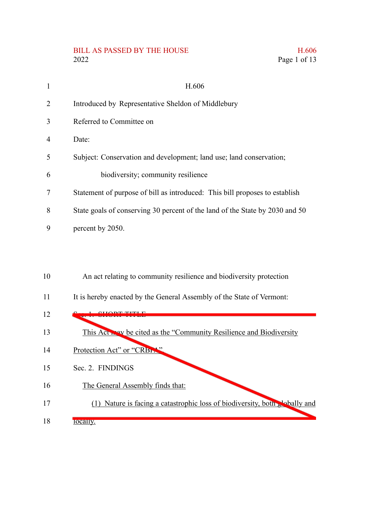## BILL AS PASSED BY THE HOUSE  $2022\,$ 2022 Page 1 of 13

|  | H.606        |
|--|--------------|
|  | Page 1 of 13 |

| 1              | H.606                                                                        |
|----------------|------------------------------------------------------------------------------|
| $\overline{2}$ | Introduced by Representative Sheldon of Middlebury                           |
| 3              | Referred to Committee on                                                     |
| 4              | Date:                                                                        |
| 5              | Subject: Conservation and development; land use; land conservation;          |
| 6              | biodiversity; community resilience                                           |
| 7              | Statement of purpose of bill as introduced: This bill proposes to establish  |
| 8              | State goals of conserving 30 percent of the land of the State by 2030 and 50 |
| 9              | percent by 2050.                                                             |
|                |                                                                              |
|                |                                                                              |
| 10             | An act relating to community resilience and biodiversity protection          |
| 11             | It is hereby enacted by the General Assembly of the State of Vermont:        |
| 12             |                                                                              |
| 13             | This Act way be cited as the "Community Resilience and Biodiversity          |
| 14             | Protection Act" or "CRBL"                                                    |
| 15             | Sec. 2. FINDINGS                                                             |
| 16             | The General Assembly finds that:                                             |
| 17             | (1) Nature is facing a catastrophic loss of biodiversity, both shally and    |
| 18             | locally.                                                                     |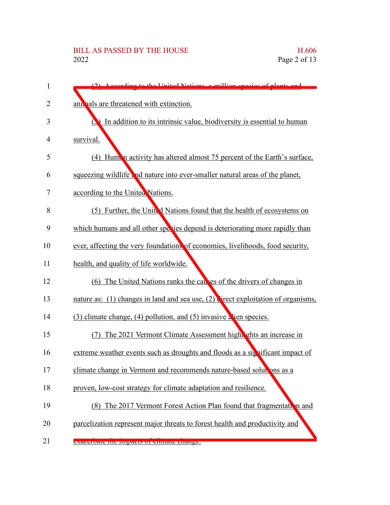| 1  | (2) According to the United Nations a million species of plants and               |
|----|-----------------------------------------------------------------------------------|
| 2  | ant hals are threatened with extinction.                                          |
| 3  | In addition to its intrinsic value, biodiversity is essential to human            |
| 4  | survival.                                                                         |
| 5  | (4) Human activity has altered almost 75 percent of the Earth's surface,          |
| 6  | squeezing wildlife and nature into ever-smaller natural areas of the planet,      |
| 7  | according to the United Nations.                                                  |
| 8  | Further, the United Nations found that the health of ecosystems on<br>(5)         |
| 9  | which humans and all other species depend is deteriorating more rapidly than      |
| 10 | ever, affecting the very foundations of economies, livelihoods, food security,    |
| 11 | health, and quality of life worldwide.                                            |
| 12 | (6) The United Nations ranks the causes of the drivers of changes in              |
| 13 | nature as: (1) changes in land and sea use, (2) direct exploitation of organisms, |
| 14 | (3) climate change, (4) pollution, and (5) invasive a ien species.                |
| 15 | The 2021 Vermont Climate Assessment high schots an increase in<br>(7)             |
| 16 | extreme weather events such as droughts and floods as a significant impact of     |
| 17 | climate change in Vermont and recommends nature-based solutions as a              |
| 18 | proven, low-cost strategy for climate adaptation and resilience.                  |
| 19 | (8) The 2017 Vermont Forest Action Plan found that fragmentation and              |
| 20 | parcelization represent major threats to forest health and productivity and       |
| 21 | exaceroate the impacts of chinate enange.                                         |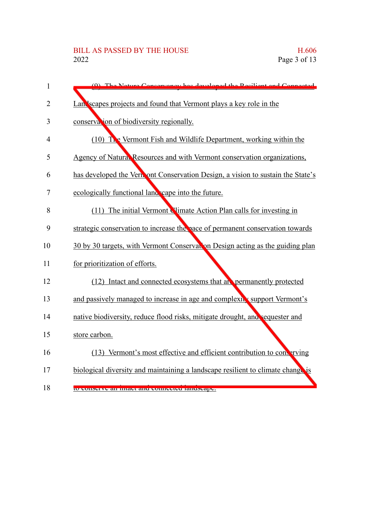| $\mathbf{1}$ | has developed the Resilient and Connecte<br>The Neture Concerver                |
|--------------|---------------------------------------------------------------------------------|
| 2            | Landscapes projects and found that Vermont plays a key role in the              |
| 3            | conservation of biodiversity regionally.                                        |
| 4            | $(10)$ The Vermont Fish and Wildlife Department, working within the             |
| 5            | Agency of Natural Resources and with Vermont conservation organizations,        |
| 6            | has developed the Vernont Conservation Design, a vision to sustain the State's  |
| 7            | ecologically functional land cape into the future.                              |
| 8            | (11) The initial Vermont Nimate Action Plan calls for investing in              |
| 9            | strategic conservation to increase the pace of permanent conservation towards   |
| 10           | 30 by 30 targets, with Vermont Conservation Design acting as the guiding plan   |
| 11           | for prioritization of efforts.                                                  |
| 12           | (12) Intact and connected ecosystems that an permanently protected              |
| 13           | and passively managed to increase in age and complexit support Vermont's        |
| 14           | native biodiversity, reduce flood risks, mitigate drought, and sequester and    |
| 15           | store carbon.                                                                   |
| 16           | (13) Vermont's most effective and efficient contribution to converving          |
| 17           | biological diversity and maintaining a landscape resilient to climate change is |
| 18           | to conserve an miaci and connected randscape.                                   |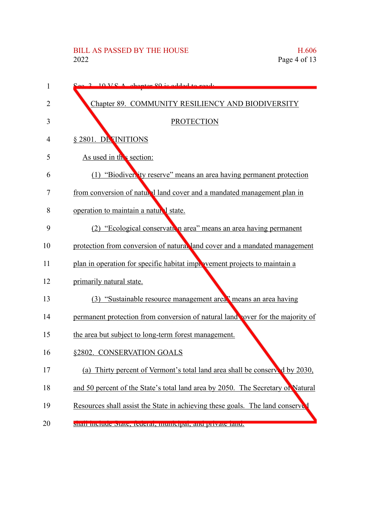| 1  | $10 \text{ V}$ $\Omega$ chapter 20 is added to read.                            |
|----|---------------------------------------------------------------------------------|
| 2  | Chapter 89. COMMUNITY RESILIENCY AND BIODIVERSITY                               |
| 3  | <b>PROTECTION</b>                                                               |
| 4  | § 2801. DE INITIONS                                                             |
| 5  | As used in the section:                                                         |
| 6  | (1) "Biodiversity reserve" means an area having permanent protection            |
| 7  | from conversion of natural land cover and a mandated management plan in         |
| 8  | operation to maintain a natural state.                                          |
| 9  | (2) "Ecological conservation area" means an area having permanent               |
| 10 | protection from conversion of natural land cover and a mandated management      |
| 11 | plan in operation for specific habitat improvement projects to maintain a       |
| 12 | primarily natural state.                                                        |
| 13 | (3) "Sustainable resource management area" means an area having                 |
| 14 | permanent protection from conversion of natural land vover for the majority of  |
| 15 | the area but subject to long-term forest management.                            |
| 16 | §2802. CONSERVATION GOALS                                                       |
| 17 | (a)<br>Thirty percent of Vermont's total land area shall be conserved by 2030,  |
| 18 | and 50 percent of the State's total land area by 2050. The Secretary of Natural |
| 19 | Resources shall assist the State in achieving these goals. The land conserved   |
| 20 | shan monute state, retterar, mumerpar, and private fand.                        |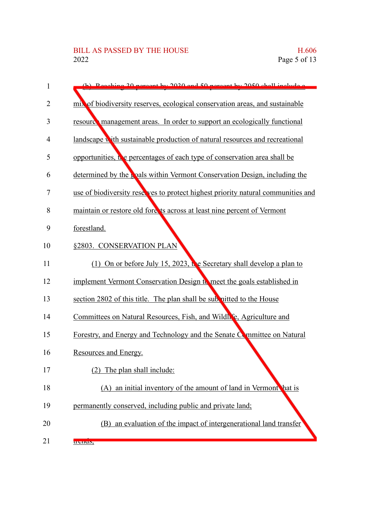| 1              | (b) Beaching 20 percent by 2020 and 50 percent by 2050 shall include a           |
|----------------|----------------------------------------------------------------------------------|
| $\overline{2}$ | mix of biodiversity reserves, ecological conservation areas, and sustainable     |
| 3              | resource management areas. In order to support an ecologically functional        |
| 4              | landscape with sustainable production of natural resources and recreational      |
| 5              | opportunities, the percentages of each type of conservation area shall be        |
| 6              | determined by the pole within Vermont Conservation Design, including the         |
| 7              | use of biodiversity reserves to protect highest priority natural communities and |
| 8              | maintain or restore old fore is across at least nine percent of Vermont          |
| 9              | forestland.                                                                      |
| 10             | §2803. CONSERVATION PLAN                                                         |
| 11             | (1) On or before July 15, 2023, the Secretary shall develop a plan to            |
| 12             | implement Vermont Conservation Design to meet the goals established in           |
| 13             | section 2802 of this title. The plan shall be submitted to the House             |
| 14             | Committees on Natural Resources, Fish, and Wildh & Agriculture and               |
| 15             | Forestry, and Energy and Technology and the Senate Committee on Natural          |
| 16             | Resources and Energy.                                                            |
| 17             | (2)<br>The plan shall include:                                                   |
| 18             | (A) an initial inventory of the amount of land in Vermont hat is                 |
| 19             | permanently conserved, including public and private land;                        |
| 20             | (B) an evaluation of the impact of intergenerational land transfer               |
| 21             | u chus,                                                                          |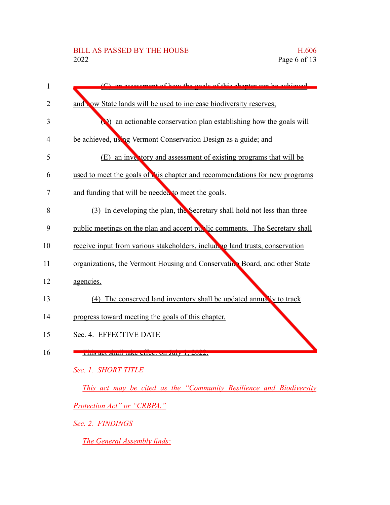## BILL AS PASSED BY THE HOUSE H.606 2022 Page 6 of 13

| 1  | coment of how the goals of this chanter can be achieved                      |
|----|------------------------------------------------------------------------------|
| 2  | and now State lands will be used to increase biodiversity reserves;          |
|    |                                                                              |
| 3  | $\Omega$ ) an actionable conservation plan establishing how the goals will   |
| 4  | be achieved, using Vermont Conservation Design as a guide; and               |
| 5  | (E) an inventory and assessment of existing programs that will be            |
| 6  | used to meet the goals of this chapter and recommendations for new programs  |
| 7  | and funding that will be needed to meet the goals.                           |
| 8  | (3) In developing the plan, the Secretary shall hold not less than three     |
| 9  | public meetings on the plan and accept public comments. The Secretary shall  |
| 10 | receive input from various stakeholders, including land trusts, conservation |
| 11 | organizations, the Vermont Housing and Conservation Board, and other State   |
| 12 | agencies.                                                                    |
| 13 | (4) The conserved land inventory shall be updated annually to track          |
| 14 | progress toward meeting the goals of this chapter.                           |
| 15 | Sec. 4. EFFECTIVE DATE                                                       |
| 16 | THIS act Shall take chect on July 1, 2022.                                   |
|    | Sec. 1. SHORT TITLE                                                          |
|    | This act may be cited as the "Community Resilience and Biodiversity          |

*Protection Act" or "CRBPA."*

*Sec. 2. FINDINGS*

*The General Assembly finds:*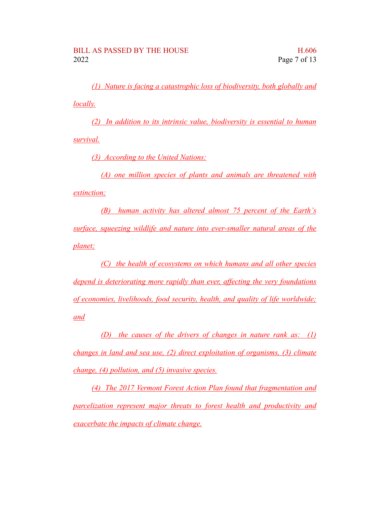*(1) Nature is facing a catastrophic loss of biodiversity, both globally and locally.*

*(2) In addition to its intrinsic value, biodiversity is essential to human survival.*

*(3) According to the United Nations:*

*(A) one million species of plants and animals are threatened with extinction;*

*(B) human activity has altered almost 75 percent of the Earth's surface, squeezing wildlife and nature into ever-smaller natural areas of the planet;*

*(C) the health of ecosystems on which humans and all other species depend is deteriorating more rapidly than ever, affecting the very foundations of economies, livelihoods, food security, health, and quality of life worldwide; and*

*(D) the causes of the drivers of changes in nature rank as: (1) changes in land and sea use, (2) direct exploitation of organisms, (3) climate change, (4) pollution, and (5) invasive species.*

*(4) The 2017 Vermont Forest Action Plan found that fragmentation and parcelization represent major threats to forest health and productivity and exacerbate the impacts of climate change.*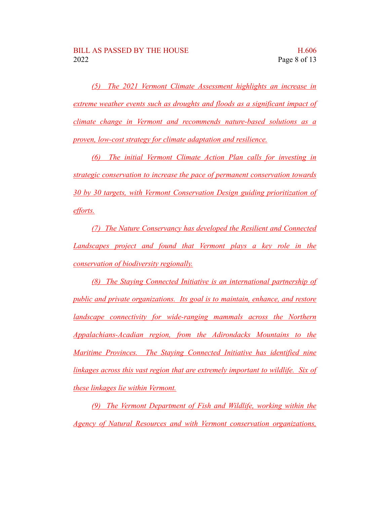*(5) The 2021 Vermont Climate Assessment highlights an increase in extreme weather events such as droughts and floods as a significant impact of climate change in Vermont and recommends nature-based solutions as a proven, low-cost strategy for climate adaptation and resilience.*

*(6) The initial Vermont Climate Action Plan calls for investing in strategic conservation to increase the pace of permanent conservation towards 30 by 30 targets, with Vermont Conservation Design guiding prioritization of efforts.*

*(7) The Nature Conservancy has developed the Resilient and Connected Landscapes project and found that Vermont plays a key role in the conservation of biodiversity regionally.*

*(8) The Staying Connected Initiative is an international partnership of public and private organizations. Its goal is to maintain, enhance, and restore landscape connectivity for wide-ranging mammals across the Northern Appalachians-Acadian region, from the Adirondacks Mountains to the Maritime Provinces. The Staying Connected Initiative has identified nine linkages across this vast region that are extremely important to wildlife. Six of these linkages lie within Vermont.*

*(9) The Vermont Department of Fish and Wildlife, working within the Agency of Natural Resources and with Vermont conservation organizations,*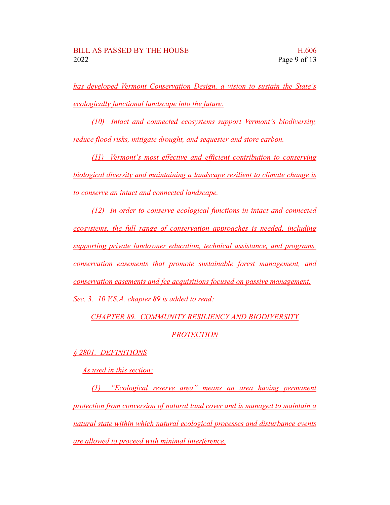*has developed Vermont Conservation Design, a vision to sustain the State's ecologically functional landscape into the future.*

*(10) Intact and connected ecosystems support Vermont's biodiversity, reduce flood risks, mitigate drought, and sequester and store carbon.*

*(11) Vermont's most effective and efficient contribution to conserving biological diversity and maintaining a landscape resilient to climate change is to conserve an intact and connected landscape.*

*(12) In order to conserve ecological functions in intact and connected ecosystems, the full range of conservation approaches is needed, including supporting private landowner education, technical assistance, and programs, conservation easements that promote sustainable forest management, and conservation easements and fee acquisitions focused on passive management. Sec. 3. 10 V.S.A. chapter 89 is added to read:*

*CHAPTER 89. COMMUNITY RESILIENCY AND BIODIVERSITY*

## *PROTECTION*

## *§ 2801. DEFINITIONS*

*As used in this section:*

*(1) "Ecological reserve area" means an area having permanent protection from conversion of natural land cover and is managed to maintain a natural state within which natural ecological processes and disturbance events are allowed to proceed with minimal interference.*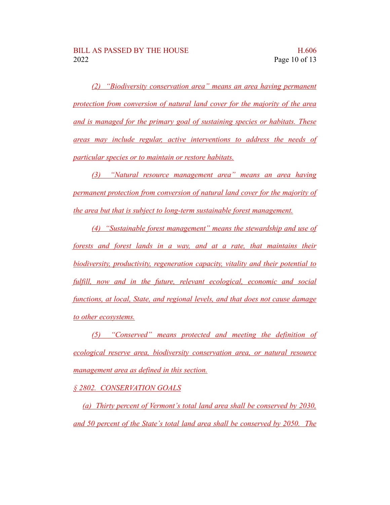*(2) "Biodiversity conservation area" means an area having permanent protection from conversion of natural land cover for the majority of the area and is managed for the primary goal of sustaining species or habitats. These areas may include regular, active interventions to address the needs of particular species or to maintain or restore habitats.*

*(3) "Natural resource management area" means an area having permanent protection from conversion of natural land cover for the majority of the area but that is subject to long-term sustainable forest management.*

*(4) "Sustainable forest management" means the stewardship and use of forests and forest lands in a way, and at a rate, that maintains their biodiversity, productivity, regeneration capacity, vitality and their potential to fulfill, now and in the future, relevant ecological, economic and social functions, at local, State, and regional levels, and that does not cause damage to other ecosystems.*

*(5) "Conserved" means protected and meeting the definition of ecological reserve area, biodiversity conservation area, or natural resource management area as defined in this section.*

*§ 2802. CONSERVATION GOALS*

*(a) Thirty percent of Vermont's total land area shall be conserved by 2030, and 50 percent of the State's total land area shall be conserved by 2050. The*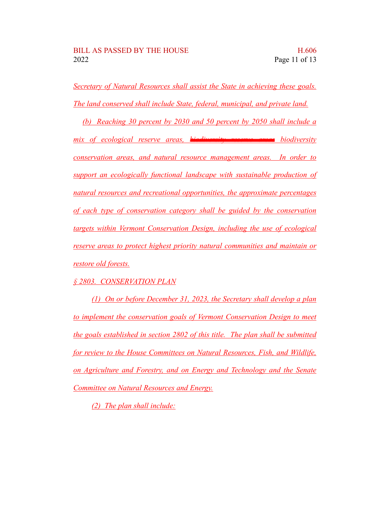*Secretary of Natural Resources shall assist the State in achieving these goals. The land conserved shall include State, federal, municipal, and private land.*

*(b) Reaching 30 percent by 2030 and 50 percent by 2050 shall include a mix of ecological reserve areas, biodiversity reserve areas biodiversity conservation areas, and natural resource management areas. In order to support an ecologically functional landscape with sustainable production of natural resources and recreational opportunities, the approximate percentages of each type of conservation category shall be guided by the conservation targets within Vermont Conservation Design, including the use of ecological reserve areas to protect highest priority natural communities and maintain or restore old forests.*

*§ 2803. CONSERVATION PLAN*

*(1) On or before December 31, 2023, the Secretary shall develop a plan to implement the conservation goals of Vermont Conservation Design to meet the goals established in section 2802 of this title. The plan shall be submitted for review to the House Committees on Natural Resources, Fish, and Wildlife, on Agriculture and Forestry, and on Energy and Technology and the Senate Committee on Natural Resources and Energy.*

*(2) The plan shall include:*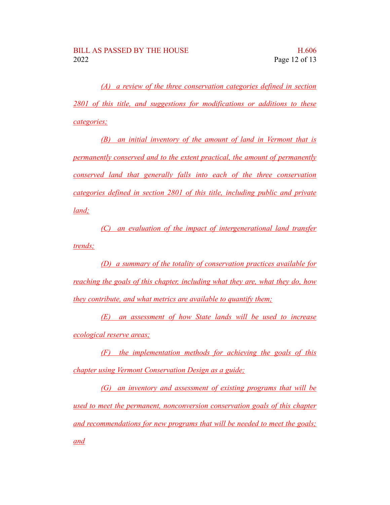*(A) a review of the three conservation categories defined in section 2801 of this title, and suggestions for modifications or additions to these categories;*

*(B) an initial inventory of the amount of land in Vermont that is permanently conserved and to the extent practical, the amount of permanently conserved land that generally falls into each of the three conservation categories defined in section 2801 of this title, including public and private land;*

*(C) an evaluation of the impact of intergenerational land transfer trends;*

*(D) a summary of the totality of conservation practices available for reaching the goals of this chapter, including what they are, what they do, how they contribute, and what metrics are available to quantify them;*

*(E) an assessment of how State lands will be used to increase ecological reserve areas;*

*(F) the implementation methods for achieving the goals of this chapter using Vermont Conservation Design as a guide;*

*(G) an inventory and assessment of existing programs that will be used to meet the permanent, nonconversion conservation goals of this chapter and recommendations for new programs that will be needed to meet the goals; and*